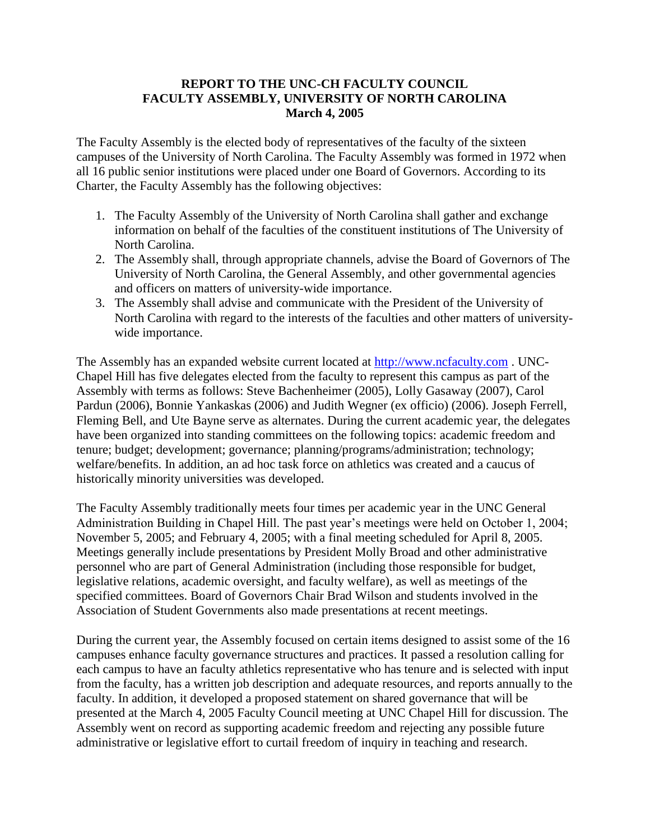## **REPORT TO THE UNC-CH FACULTY COUNCIL FACULTY ASSEMBLY, UNIVERSITY OF NORTH CAROLINA March 4, 2005**

The Faculty Assembly is the elected body of representatives of the faculty of the sixteen campuses of the University of North Carolina. The Faculty Assembly was formed in 1972 when all 16 public senior institutions were placed under one Board of Governors. According to its Charter, the Faculty Assembly has the following objectives:

- 1. The Faculty Assembly of the University of North Carolina shall gather and exchange information on behalf of the faculties of the constituent institutions of The University of North Carolina.
- 2. The Assembly shall, through appropriate channels, advise the Board of Governors of The University of North Carolina, the General Assembly, and other governmental agencies and officers on matters of university-wide importance.
- 3. The Assembly shall advise and communicate with the President of the University of North Carolina with regard to the interests of the faculties and other matters of universitywide importance.

The Assembly has an expanded website current located at [http://www.ncfaculty.com](http://www.ncfaculty.com/). UNC-Chapel Hill has five delegates elected from the faculty to represent this campus as part of the Assembly with terms as follows: Steve Bachenheimer (2005), Lolly Gasaway (2007), Carol Pardun (2006), Bonnie Yankaskas (2006) and Judith Wegner (ex officio) (2006). Joseph Ferrell, Fleming Bell, and Ute Bayne serve as alternates. During the current academic year, the delegates have been organized into standing committees on the following topics: academic freedom and tenure; budget; development; governance; planning/programs/administration; technology; welfare/benefits. In addition, an ad hoc task force on athletics was created and a caucus of historically minority universities was developed.

The Faculty Assembly traditionally meets four times per academic year in the UNC General Administration Building in Chapel Hill. The past year's meetings were held on October 1, 2004; November 5, 2005; and February 4, 2005; with a final meeting scheduled for April 8, 2005. Meetings generally include presentations by President Molly Broad and other administrative personnel who are part of General Administration (including those responsible for budget, legislative relations, academic oversight, and faculty welfare), as well as meetings of the specified committees. Board of Governors Chair Brad Wilson and students involved in the Association of Student Governments also made presentations at recent meetings.

During the current year, the Assembly focused on certain items designed to assist some of the 16 campuses enhance faculty governance structures and practices. It passed a resolution calling for each campus to have an faculty athletics representative who has tenure and is selected with input from the faculty, has a written job description and adequate resources, and reports annually to the faculty. In addition, it developed a proposed statement on shared governance that will be presented at the March 4, 2005 Faculty Council meeting at UNC Chapel Hill for discussion. The Assembly went on record as supporting academic freedom and rejecting any possible future administrative or legislative effort to curtail freedom of inquiry in teaching and research.